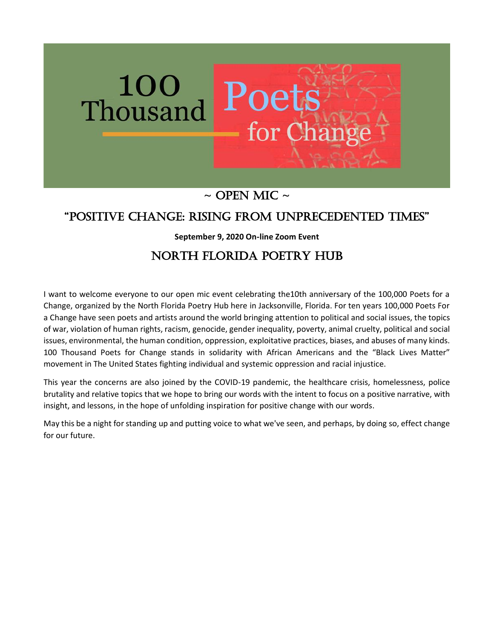

# $\sim$  OPEN MIC  $\sim$

# "Positive Change: Rising FRom UnPReCedented times"

**September 9, 2020 On-line Zoom Event**

# North Florida Poetry Hub

I want to welcome everyone to our open mic event celebrating the10th anniversary of the 100,000 Poets for a Change, organized by the North Florida Poetry Hub here in Jacksonville, Florida. For ten years 100,000 Poets For a Change have seen poets and artists around the world bringing attention to political and social issues, the topics of war, violation of human rights, racism, genocide, gender inequality, poverty, animal cruelty, political and social issues, environmental, the human condition, oppression, exploitative practices, biases, and abuses of many kinds. 100 Thousand Poets for Change stands in solidarity with African Americans and the "Black Lives Matter" movement in The United States fighting individual and systemic oppression and racial injustice.

This year the concerns are also joined by the COVID-19 pandemic, the healthcare crisis, homelessness, police brutality and relative topics that we hope to bring our words with the intent to focus on a positive narrative, with insight, and lessons, in the hope of unfolding inspiration for positive change with our words.

May this be a night for standing up and putting voice to what we've seen, and perhaps, by doing so, effect change for our future.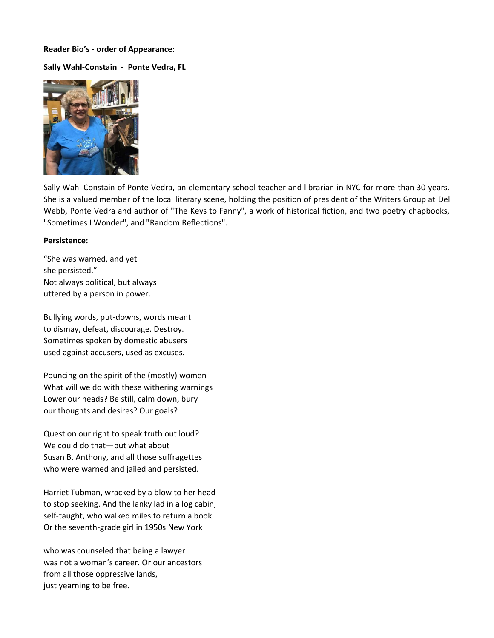## **Reader Bio's - order of Appearance:**

# **Sally Wahl-Constain - Ponte Vedra, FL**



Sally Wahl Constain of Ponte Vedra, an elementary school teacher and librarian in NYC for more than 30 years. She is a valued member of the local literary scene, holding the position of president of the Writers Group at Del Webb, Ponte Vedra and author of "The Keys to Fanny", a work of historical fiction, and two poetry chapbooks, "Sometimes I Wonder", and "Random Reflections".

## **Persistence:**

"She was warned, and yet she persisted." Not always political, but always uttered by a person in power.

Bullying words, put-downs, words meant to dismay, defeat, discourage. Destroy. Sometimes spoken by domestic abusers used against accusers, used as excuses.

Pouncing on the spirit of the (mostly) women What will we do with these withering warnings Lower our heads? Be still, calm down, bury our thoughts and desires? Our goals?

Question our right to speak truth out loud? We could do that—but what about Susan B. Anthony, and all those suffragettes who were warned and jailed and persisted.

Harriet Tubman, wracked by a blow to her head to stop seeking. And the lanky lad in a log cabin, self-taught, who walked miles to return a book. Or the seventh-grade girl in 1950s New York

who was counseled that being a lawyer was not a woman's career. Or our ancestors from all those oppressive lands, just yearning to be free.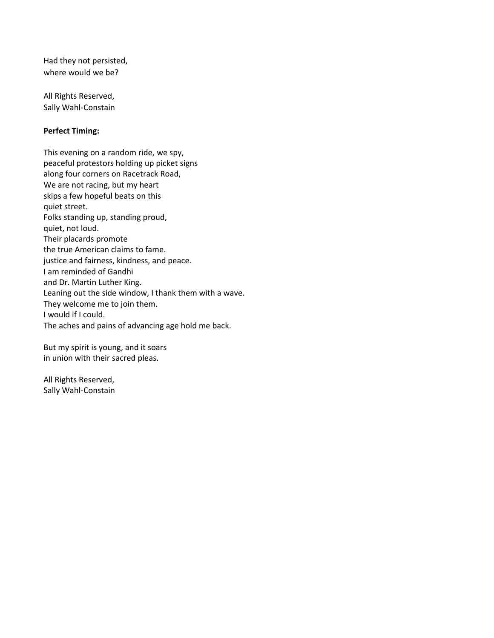Had they not persisted, where would we be?

All Rights Reserved, Sally Wahl-Constain

# **Perfect Timing:**

This evening on a random ride, we spy, peaceful protestors holding up picket signs along four corners on Racetrack Road, We are not racing, but my heart skips a few hopeful beats on this quiet street. Folks standing up, standing proud, quiet, not loud. Their placards promote the true American claims to fame. justice and fairness, kindness, and peace. I am reminded of Gandhi and Dr. Martin Luther King. Leaning out the side window, I thank them with a wave. They welcome me to join them. I would if I could. The aches and pains of advancing age hold me back.

But my spirit is young, and it soars in union with their sacred pleas.

All Rights Reserved, Sally Wahl-Constain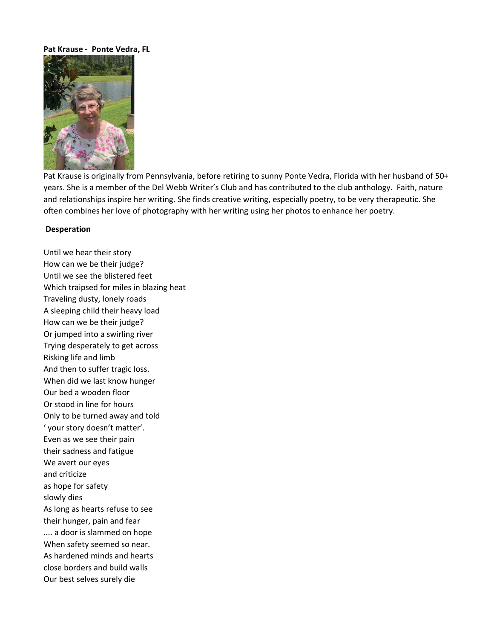## **Pat Krause - Ponte Vedra, FL**



Pat Krause is originally from Pennsylvania, before retiring to sunny Ponte Vedra, Florida with her husband of 50+ years. She is a member of the Del Webb Writer's Club and has contributed to the club anthology. Faith, nature and relationships inspire her writing. She finds creative writing, especially poetry, to be very therapeutic. She often combines her love of photography with her writing using her photos to enhance her poetry.

#### **Desperation**

Until we hear their story How can we be their judge? Until we see the blistered feet Which traipsed for miles in blazing heat Traveling dusty, lonely roads A sleeping child their heavy load How can we be their judge? Or jumped into a swirling river Trying desperately to get across Risking life and limb And then to suffer tragic loss. When did we last know hunger Our bed a wooden floor Or stood in line for hours Only to be turned away and told ' your story doesn't matter'. Even as we see their pain their sadness and fatigue We avert our eyes and criticize as hope for safety slowly dies As long as hearts refuse to see their hunger, pain and fear .... a door is slammed on hope When safety seemed so near. As hardened minds and hearts close borders and build walls Our best selves surely die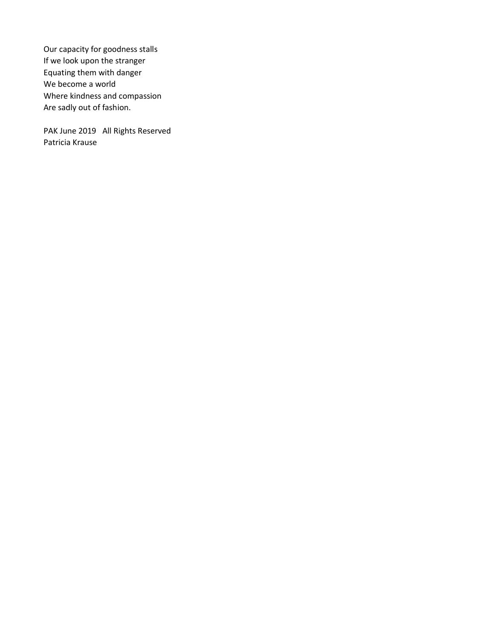Our capacity for goodness stalls If we look upon the stranger Equating them with danger We become a world Where kindness and compassion Are sadly out of fashion.

PAK June 2019 All Rights Reserved Patricia Krause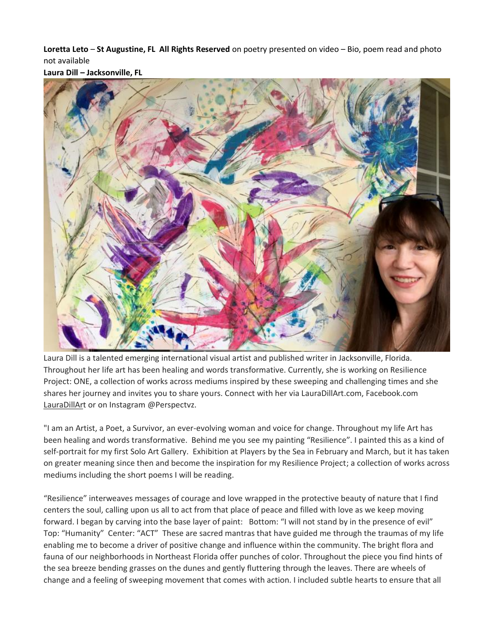**Loretta Leto** – **St Augustine, FL All Rights Reserved** on poetry presented on video – Bio, poem read and photo not available



**Laura Dill – Jacksonville, FL**

Laura Dill is a talented emerging international visual artist and published writer in Jacksonville, Florida. Throughout her life art has been healing and words transformative. Currently, she is working on Resilience Project: ONE, a collection of works across mediums inspired by these sweeping and challenging times and she shares her journey and invites you to share yours. Connect with her via LauraDillArt.com, Facebook.com [LauraDillArt](https://www.lauradillart.com/) or on Instagram @Perspectvz.

"I am an Artist, a Poet, a Survivor, an ever-evolving woman and voice for change. Throughout my life Art has been healing and words transformative. Behind me you see my painting "Resilience". I painted this as a kind of self-portrait for my first Solo Art Gallery. Exhibition at Players by the Sea in February and March, but it has taken on greater meaning since then and become the inspiration for my Resilience Project; a collection of works across mediums including the short poems I will be reading.

"Resilience" interweaves messages of courage and love wrapped in the protective beauty of nature that I find centers the soul, calling upon us all to act from that place of peace and filled with love as we keep moving forward. I began by carving into the base layer of paint: Bottom: "I will not stand by in the presence of evil" Top: "Humanity" Center: "ACT" These are sacred mantras that have guided me through the traumas of my life enabling me to become a driver of positive change and influence within the community. The bright flora and fauna of our neighborhoods in Northeast Florida offer punches of color. Throughout the piece you find hints of the sea breeze bending grasses on the dunes and gently fluttering through the leaves. There are wheels of change and a feeling of sweeping movement that comes with action. I included subtle hearts to ensure that all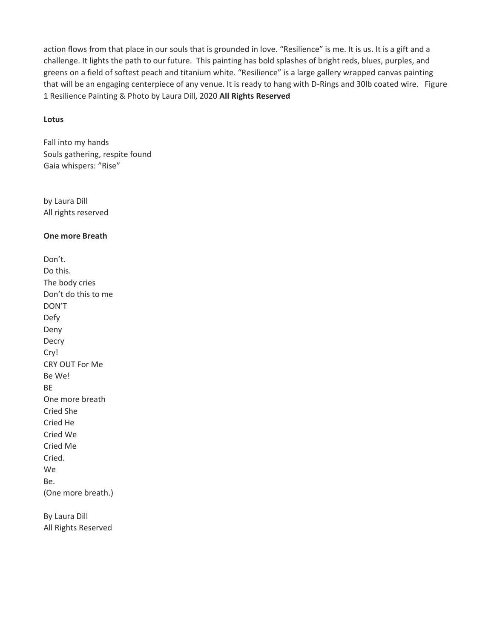action flows from that place in our souls that is grounded in love. "Resilience" is me. It is us. It is a gift and a challenge. It lights the path to our future. This painting has bold splashes of bright reds, blues, purples, and greens on a field of softest peach and titanium white. "Resilience" is a large gallery wrapped canvas painting that will be an engaging centerpiece of any venue. It is ready to hang with D-Rings and 30lb coated wire. Figure 1 Resilience Painting & Photo by Laura Dill, 2020 **All Rights Reserved** 

### **Lotus**

Fall into my hands Souls gathering, respite found Gaia whispers: "Rise"

by Laura Dill All rights reserved

## **One more Breath**

Don't. Do this. The body cries Don't do this to me DON'T Defy Deny Decry Cry! CRY OUT For Me Be We! BE One more breath Cried She Cried He Cried We Cried Me Cried. We Be. (One more breath.)

By Laura Dill All Rights Reserved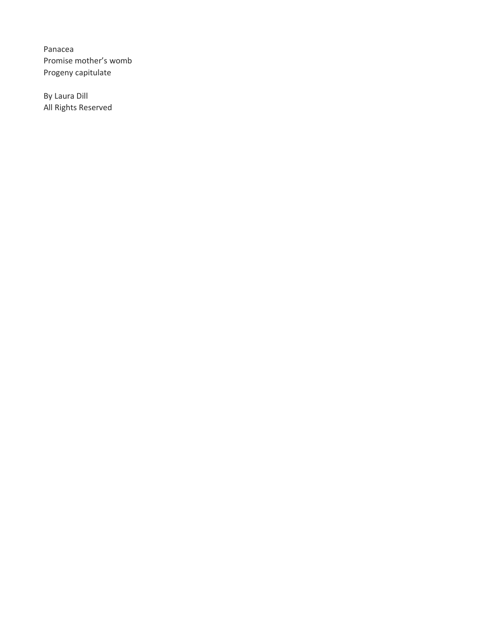Panacea Promise mother's womb Progeny capitulate

By Laura Dill All Rights Reserved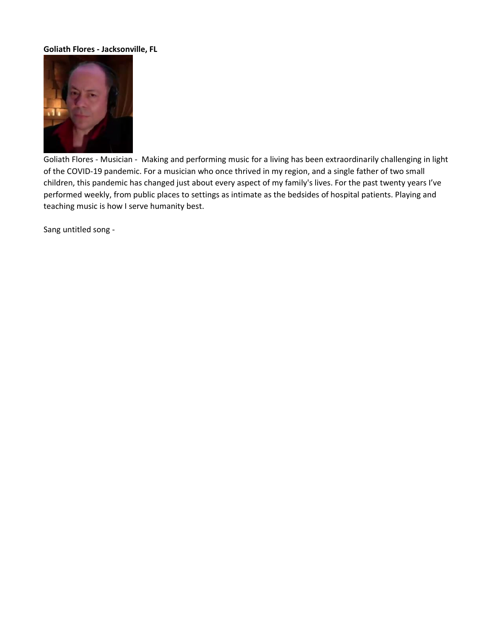# **Goliath Flores - Jacksonville, FL**



Goliath Flores - Musician - Making and performing music for a living has been extraordinarily challenging in light of the COVID-19 pandemic. For a musician who once thrived in my region, and a single father of two small children, this pandemic has changed just about every aspect of my family's lives. For the past twenty years I've performed weekly, from public places to settings as intimate as the bedsides of hospital patients. Playing and teaching music is how I serve humanity best.

Sang untitled song -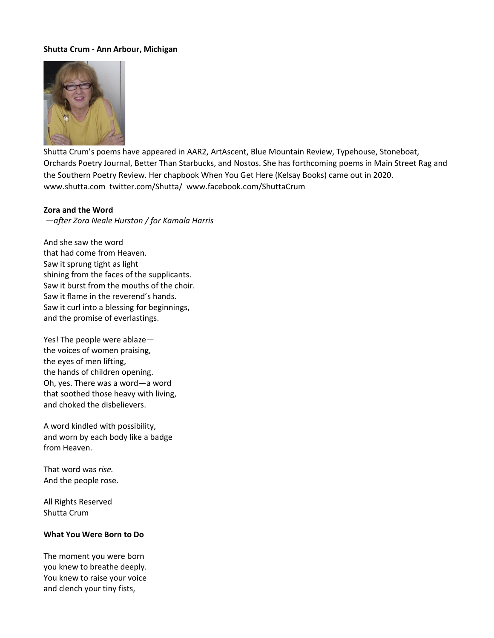# **Shutta Crum - Ann Arbour, Michigan**



Shutta Crum's poems have appeared in AAR2, ArtAscent, Blue Mountain Review, Typehouse, Stoneboat, Orchards Poetry Journal, Better Than Starbucks, and Nostos. She has forthcoming poems in Main Street Rag and the Southern Poetry Review. Her chapbook When You Get Here (Kelsay Books) came out in 2020. www.shutta.com twitter.com/Shutta/ www.facebook.com/ShuttaCrum

#### **Zora and the Word**

—*after Zora Neale Hurston / for Kamala Harris*

And she saw the word that had come from Heaven. Saw it sprung tight as light shining from the faces of the supplicants. Saw it burst from the mouths of the choir. Saw it flame in the reverend's hands. Saw it curl into a blessing for beginnings, and the promise of everlastings.

Yes! The people were ablaze the voices of women praising, the eyes of men lifting, the hands of children opening. Oh, yes. There was a word—a word that soothed those heavy with living, and choked the disbelievers.

A word kindled with possibility, and worn by each body like a badge from Heaven.

That word was *rise.* And the people rose.

All Rights Reserved Shutta Crum

#### **What You Were Born to Do**

The moment you were born you knew to breathe deeply. You knew to raise your voice and clench your tiny fists,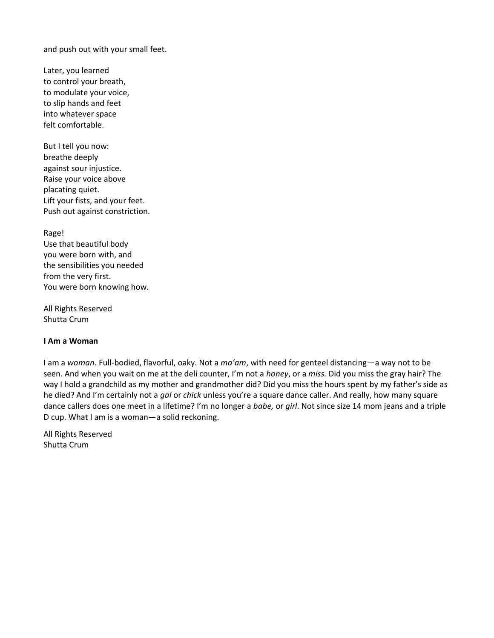and push out with your small feet.

Later, you learned to control your breath, to modulate your voice, to slip hands and feet into whatever space felt comfortable.

But I tell you now: breathe deeply against sour injustice. Raise your voice above placating quiet. Lift your fists, and your feet. Push out against constriction.

Rage!

Use that beautiful body you were born with, and the sensibilities you needed from the very first. You were born knowing how.

All Rights Reserved Shutta Crum

# **I Am a Woman**

I am a *woman.* Full-bodied, flavorful, oaky. Not a *ma'am*, with need for genteel distancing—a way not to be seen. And when you wait on me at the deli counter, I'm not a *honey*, or a *miss.* Did you miss the gray hair? The way I hold a grandchild as my mother and grandmother did? Did you miss the hours spent by my father's side as he died? And I'm certainly not a *gal* or *chick* unless you're a square dance caller. And really, how many square dance callers does one meet in a lifetime? I'm no longer a *babe,* or *girl*. Not since size 14 mom jeans and a triple D cup. What I am is a woman—a solid reckoning.

All Rights Reserved Shutta Crum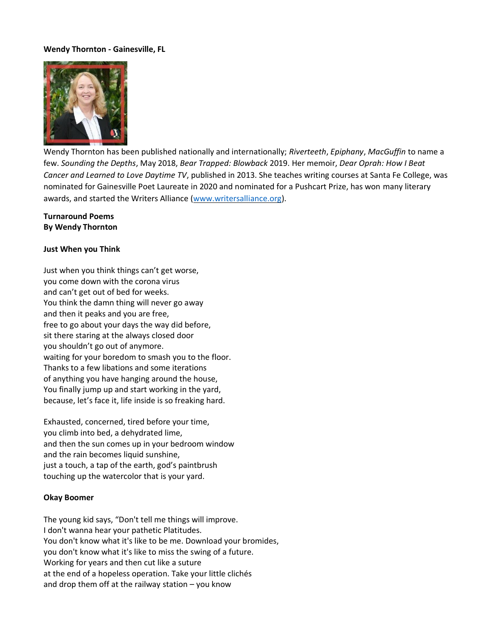# **Wendy Thornton - Gainesville, FL**



Wendy Thornton has been published nationally and internationally; *Riverteeth*, *Epiphany*, *MacGuffin* to name a few. *Sounding the Depths*, May 2018, *Bear Trapped: Blowback* 2019. Her memoir, *Dear Oprah: How I Beat Cancer and Learned to Love Daytime TV*, published in 2013. She teaches writing courses at Santa Fe College, was nominated for Gainesville Poet Laureate in 2020 and nominated for a Pushcart Prize, has won many literary awards, and started the Writers Alliance [\(www.writersalliance.org\)](http://www.writersalliance.org/).

## **Turnaround Poems By Wendy Thornton**

#### **Just When you Think**

Just when you think things can't get worse, you come down with the corona virus and can't get out of bed for weeks. You think the damn thing will never go away and then it peaks and you are free, free to go about your days the way did before, sit there staring at the always closed door you shouldn't go out of anymore. waiting for your boredom to smash you to the floor. Thanks to a few libations and some iterations of anything you have hanging around the house, You finally jump up and start working in the yard, because, let's face it, life inside is so freaking hard.

Exhausted, concerned, tired before your time, you climb into bed, a dehydrated lime, and then the sun comes up in your bedroom window and the rain becomes liquid sunshine, just a touch, a tap of the earth, god's paintbrush touching up the watercolor that is your yard.

#### **Okay Boomer**

The young kid says, "Don't tell me things will improve. I don't wanna hear your pathetic Platitudes. You don't know what it's like to be me. Download your bromides, you don't know what it's like to miss the swing of a future. Working for years and then cut like a suture at the end of a hopeless operation. Take your little clichés and drop them off at the railway station – you know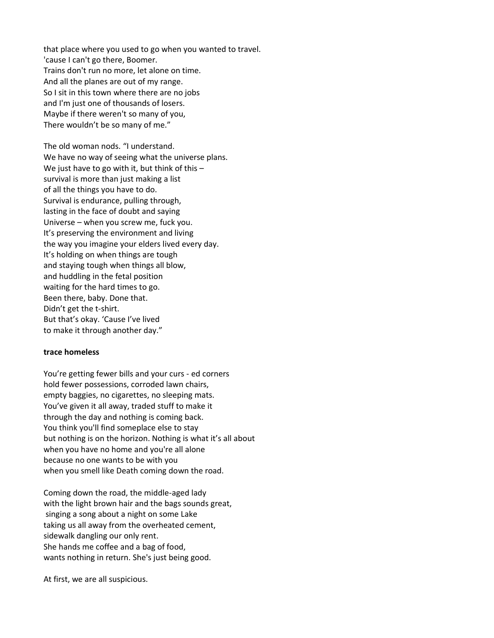that place where you used to go when you wanted to travel. 'cause I can't go there, Boomer. Trains don't run no more, let alone on time. And all the planes are out of my range. So I sit in this town where there are no jobs and I'm just one of thousands of losers. Maybe if there weren't so many of you, There wouldn't be so many of me."

The old woman nods. "I understand. We have no way of seeing what the universe plans. We just have to go with it, but think of this survival is more than just making a list of all the things you have to do. Survival is endurance, pulling through, lasting in the face of doubt and saying Universe – when you screw me, fuck you. It's preserving the environment and living the way you imagine your elders lived every day. It's holding on when things are tough and staying tough when things all blow, and huddling in the fetal position waiting for the hard times to go. Been there, baby. Done that. Didn't get the t-shirt. But that's okay. 'Cause I've lived to make it through another day."

#### **trace homeless**

You're getting fewer bills and your curs - ed corners hold fewer possessions, corroded lawn chairs, empty baggies, no cigarettes, no sleeping mats. You've given it all away, traded stuff to make it through the day and nothing is coming back. You think you'll find someplace else to stay but nothing is on the horizon. Nothing is what it's all about when you have no home and you're all alone because no one wants to be with you when you smell like Death coming down the road.

Coming down the road, the middle-aged lady with the light brown hair and the bags sounds great, singing a song about a night on some Lake taking us all away from the overheated cement, sidewalk dangling our only rent. She hands me coffee and a bag of food, wants nothing in return. She's just being good.

At first, we are all suspicious.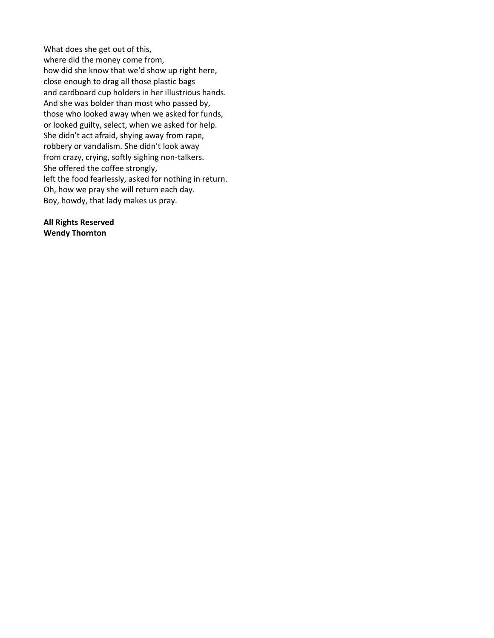What does she get out of this, where did the money come from, how did she know that we'd show up right here, close enough to drag all those plastic bags and cardboard cup holders in her illustrious hands. And she was bolder than most who passed by, those who looked away when we asked for funds, or looked guilty, select, when we asked for help. She didn't act afraid, shying away from rape, robbery or vandalism. She didn't look away from crazy, crying, softly sighing non-talkers. She offered the coffee strongly, left the food fearlessly, asked for nothing in return. Oh, how we pray she will return each day. Boy, howdy, that lady makes us pray.

**All Rights Reserved Wendy Thornton**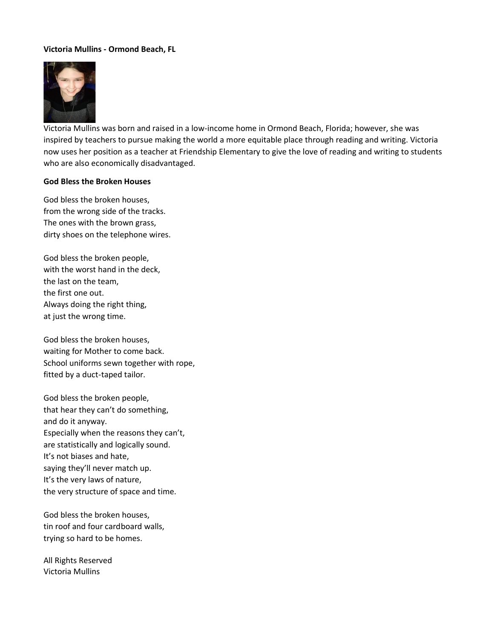# **Victoria Mullins - Ormond Beach, FL**



Victoria Mullins was born and raised in a low-income home in Ormond Beach, Florida; however, she was inspired by teachers to pursue making the world a more equitable place through reading and writing. Victoria now uses her position as a teacher at Friendship Elementary to give the love of reading and writing to students who are also economically disadvantaged.

### **God Bless the Broken Houses**

God bless the broken houses, from the wrong side of the tracks. The ones with the brown grass, dirty shoes on the telephone wires.

God bless the broken people, with the worst hand in the deck, the last on the team, the first one out. Always doing the right thing, at just the wrong time.

God bless the broken houses, waiting for Mother to come back. School uniforms sewn together with rope, fitted by a duct-taped tailor.

God bless the broken people, that hear they can't do something, and do it anyway. Especially when the reasons they can't, are statistically and logically sound. It's not biases and hate, saying they'll never match up. It's the very laws of nature, the very structure of space and time.

God bless the broken houses, tin roof and four cardboard walls, trying so hard to be homes.

All Rights Reserved Victoria Mullins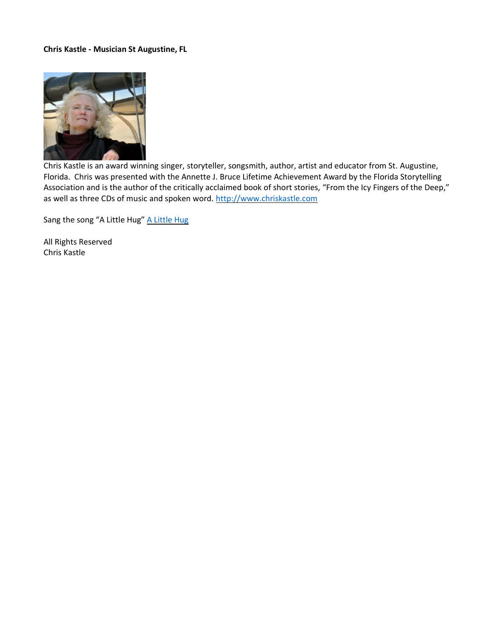# **Chris Kastle - Musician St Augustine, FL**



Chris Kastle is an award winning singer, storyteller, songsmith, author, artist and educator from St. Augustine, Florida. Chris was presented with the Annette J. Bruce Lifetime Achievement Award by the Florida Storytelling Association and is the author of the critically acclaimed book of short stories, "From the Icy Fingers of the Deep," as well as three CDs of music and spoken word. [http://www.chriskastle.com](http://www.chriskastle.com/)

Sang the song "A Little Hug" A Little Hug

All Rights Reserved Chris Kastle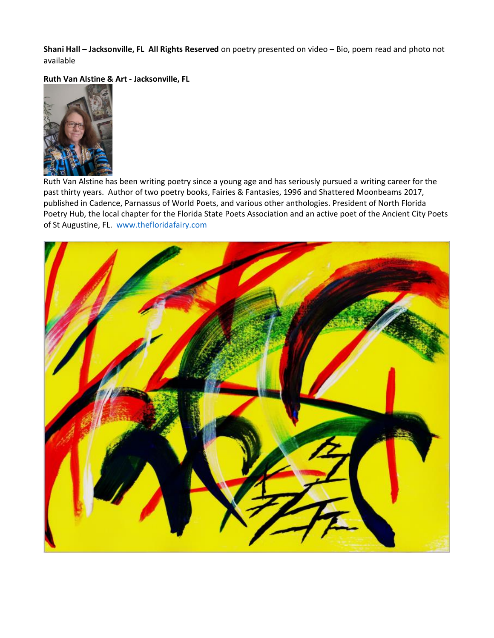**Shani Hall – Jacksonville, FL All Rights Reserved** on poetry presented on video – Bio, poem read and photo not available

**Ruth Van Alstine & Art - Jacksonville, FL**



Ruth Van Alstine has been writing poetry since a young age and has seriously pursued a writing career for the past thirty years. Author of two poetry books, Fairies & Fantasies, 1996 and Shattered Moonbeams 2017, published in Cadence, Parnassus of World Poets, and various other anthologies. President of North Florida Poetry Hub, the local chapter for the Florida State Poets Association and an active poet of the Ancient City Poets of St Augustine, FL. [www.thefloridafairy.com](http://www.thefloridafairy.com/)

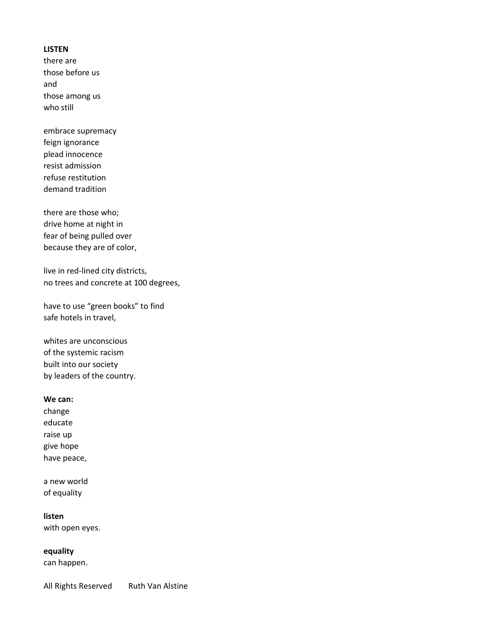# **LISTEN**

there are those before us and those among us who still

embrace supremacy feign ignorance plead innocence resist admission refuse restitution demand tradition

there are those who; drive home at night in fear of being pulled over because they are of color,

live in red-lined city districts, no trees and concrete at 100 degrees,

have to use "green books" to find safe hotels in travel,

whites are unconscious of the systemic racism built into our society by leaders of the country.

### **We can:**

change educate raise up give hope have peace,

a new world of equality

**listen**

with open eyes.

**equality** 

can happen.

All Rights Reserved Ruth Van Alstine